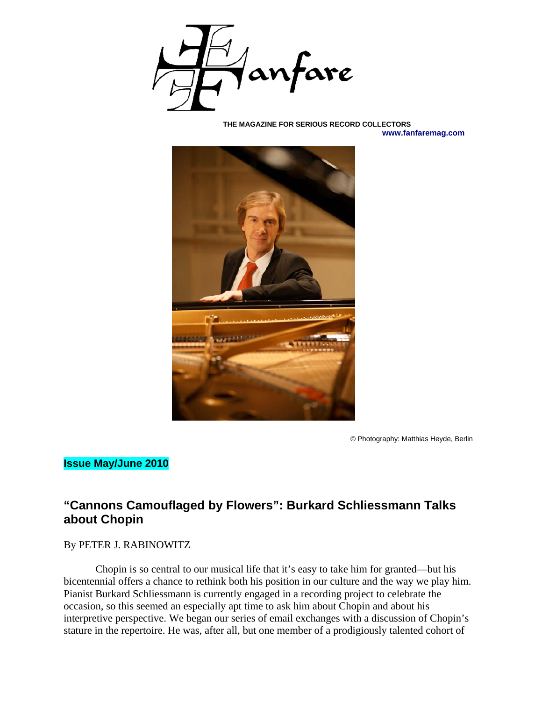

#### **THE MAGAZINE FOR SERIOUS RECORD COLLECTORS www.fanfaremag.com**



© Photography: Matthias Heyde, Berlin

## **Issue May/June 2010**

# **"Cannons Camouflaged by Flowers": Burkard Schliessmann Talks about Chopin**

#### By PETER J. RABINOWITZ

Chopin is so central to our musical life that it's easy to take him for granted—but his bicentennial offers a chance to rethink both his position in our culture and the way we play him. Pianist Burkard Schliessmann is currently engaged in a recording project to celebrate the occasion, so this seemed an especially apt time to ask him about Chopin and about his interpretive perspective. We began our series of email exchanges with a discussion of Chopin's stature in the repertoire. He was, after all, but one member of a prodigiously talented cohort of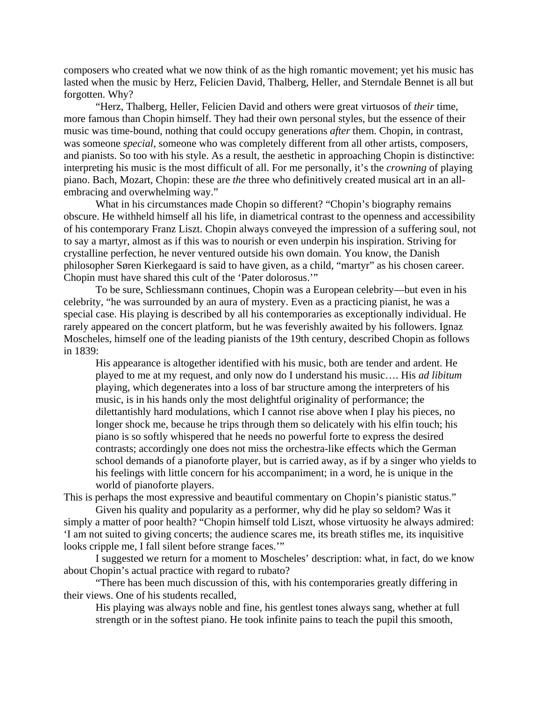composers who created what we now think of as the high romantic movement; yet his music has lasted when the music by Herz, Felicien David, Thalberg, Heller, and Sterndale Bennet is all but forgotten. Why?

"Herz, Thalberg, Heller, Felicien David and others were great virtuosos of *their* time, more famous than Chopin himself. They had their own personal styles, but the essence of their music was time-bound, nothing that could occupy generations *after* them. Chopin, in contrast, was someone *special*, someone who was completely different from all other artists, composers, and pianists. So too with his style. As a result, the aesthetic in approaching Chopin is distinctive: interpreting his music is the most difficult of all. For me personally, it's the *crowning* of playing piano. Bach, Mozart, Chopin: these are *the* three who definitively created musical art in an allembracing and overwhelming way."

What in his circumstances made Chopin so different? "Chopin's biography remains obscure. He withheld himself all his life, in diametrical contrast to the openness and accessibility of his contemporary Franz Liszt. Chopin always conveyed the impression of a suffering soul, not to say a martyr, almost as if this was to nourish or even underpin his inspiration. Striving for crystalline perfection, he never ventured outside his own domain. You know, the Danish philosopher Søren Kierkegaard is said to have given, as a child, "martyr" as his chosen career. Chopin must have shared this cult of the 'Pater dolorosus.'"

To be sure, Schliessmann continues, Chopin was a European celebrity—but even in his celebrity, "he was surrounded by an aura of mystery. Even as a practicing pianist, he was a special case. His playing is described by all his contemporaries as exceptionally individual. He rarely appeared on the concert platform, but he was feverishly awaited by his followers. Ignaz Moscheles, himself one of the leading pianists of the 19th century, described Chopin as follows in 1839:

His appearance is altogether identified with his music, both are tender and ardent. He played to me at my request, and only now do I understand his music…. His *ad libitum* playing, which degenerates into a loss of bar structure among the interpreters of his music, is in his hands only the most delightful originality of performance; the dilettantishly hard modulations, which I cannot rise above when I play his pieces, no longer shock me, because he trips through them so delicately with his elfin touch; his piano is so softly whispered that he needs no powerful forte to express the desired contrasts; accordingly one does not miss the orchestra-like effects which the German school demands of a pianoforte player, but is carried away, as if by a singer who yields to his feelings with little concern for his accompaniment; in a word, he is unique in the world of pianoforte players.

This is perhaps the most expressive and beautiful commentary on Chopin's pianistic status."

Given his quality and popularity as a performer, why did he play so seldom? Was it simply a matter of poor health? "Chopin himself told Liszt, whose virtuosity he always admired: 'I am not suited to giving concerts; the audience scares me, its breath stifles me, its inquisitive looks cripple me, I fall silent before strange faces.'"

I suggested we return for a moment to Moscheles' description: what, in fact, do we know about Chopin's actual practice with regard to rubato?

"There has been much discussion of this, with his contemporaries greatly differing in their views. One of his students recalled,

His playing was always noble and fine, his gentlest tones always sang, whether at full strength or in the softest piano. He took infinite pains to teach the pupil this smooth,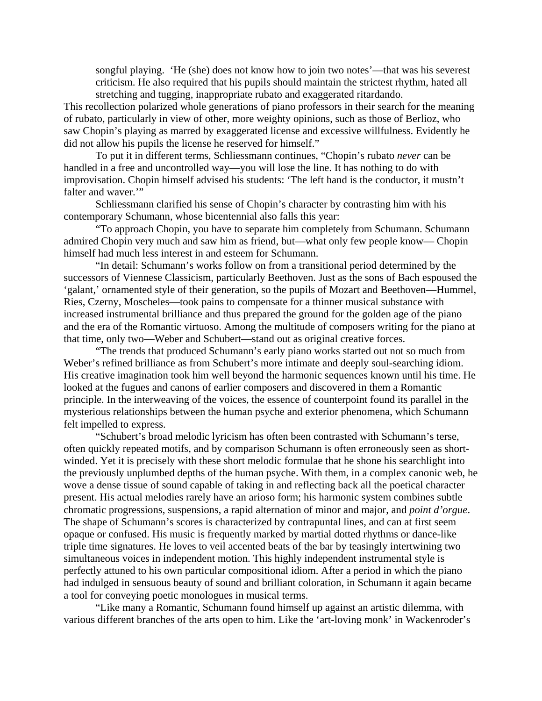songful playing. 'He (she) does not know how to join two notes'—that was his severest criticism. He also required that his pupils should maintain the strictest rhythm, hated all stretching and tugging, inappropriate rubato and exaggerated ritardando.

This recollection polarized whole generations of piano professors in their search for the meaning of rubato, particularly in view of other, more weighty opinions, such as those of Berlioz, who saw Chopin's playing as marred by exaggerated license and excessive willfulness. Evidently he did not allow his pupils the license he reserved for himself."

To put it in different terms, Schliessmann continues, "Chopin's rubato *never* can be handled in a free and uncontrolled way—you will lose the line. It has nothing to do with improvisation. Chopin himself advised his students: 'The left hand is the conductor, it mustn't falter and waver."

Schliessmann clarified his sense of Chopin's character by contrasting him with his contemporary Schumann, whose bicentennial also falls this year:

"To approach Chopin, you have to separate him completely from Schumann. Schumann admired Chopin very much and saw him as friend, but—what only few people know— Chopin himself had much less interest in and esteem for Schumann.

"In detail: Schumann's works follow on from a transitional period determined by the successors of Viennese Classicism, particularly Beethoven. Just as the sons of Bach espoused the 'galant,' ornamented style of their generation, so the pupils of Mozart and Beethoven—Hummel, Ries, Czerny, Moscheles—took pains to compensate for a thinner musical substance with increased instrumental brilliance and thus prepared the ground for the golden age of the piano and the era of the Romantic virtuoso. Among the multitude of composers writing for the piano at that time, only two—Weber and Schubert—stand out as original creative forces.

"The trends that produced Schumann's early piano works started out not so much from Weber's refined brilliance as from Schubert's more intimate and deeply soul-searching idiom. His creative imagination took him well beyond the harmonic sequences known until his time. He looked at the fugues and canons of earlier composers and discovered in them a Romantic principle. In the interweaving of the voices, the essence of counterpoint found its parallel in the mysterious relationships between the human psyche and exterior phenomena, which Schumann felt impelled to express.

"Schubert's broad melodic lyricism has often been contrasted with Schumann's terse, often quickly repeated motifs, and by comparison Schumann is often erroneously seen as shortwinded. Yet it is precisely with these short melodic formulae that he shone his searchlight into the previously unplumbed depths of the human psyche. With them, in a complex canonic web, he wove a dense tissue of sound capable of taking in and reflecting back all the poetical character present. His actual melodies rarely have an arioso form; his harmonic system combines subtle chromatic progressions, suspensions, a rapid alternation of minor and major, and *point d'orgue*. The shape of Schumann's scores is characterized by contrapuntal lines, and can at first seem opaque or confused. His music is frequently marked by martial dotted rhythms or dance-like triple time signatures. He loves to veil accented beats of the bar by teasingly intertwining two simultaneous voices in independent motion. This highly independent instrumental style is perfectly attuned to his own particular compositional idiom. After a period in which the piano had indulged in sensuous beauty of sound and brilliant coloration, in Schumann it again became a tool for conveying poetic monologues in musical terms.

"Like many a Romantic, Schumann found himself up against an artistic dilemma, with various different branches of the arts open to him. Like the 'art-loving monk' in Wackenroder's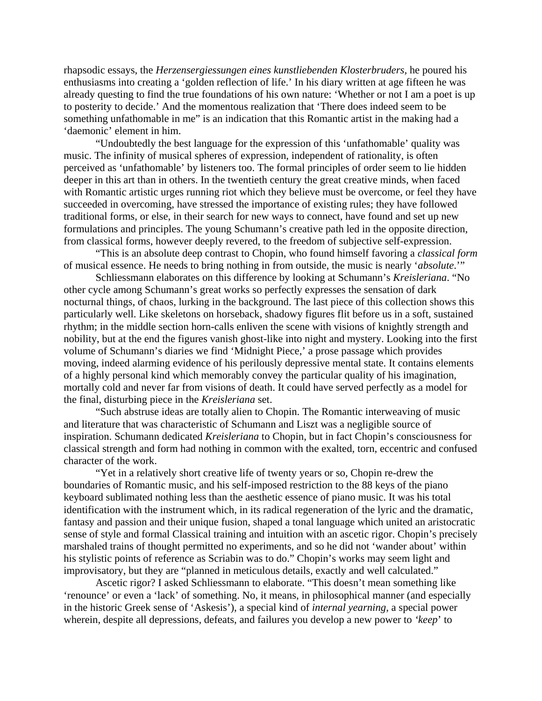rhapsodic essays, the *Herzensergiessungen eines kunstliebenden Klosterbruders,* he poured his enthusiasms into creating a 'golden reflection of life.' In his diary written at age fifteen he was already questing to find the true foundations of his own nature: 'Whether or not I am a poet is up to posterity to decide.' And the momentous realization that 'There does indeed seem to be something unfathomable in me" is an indication that this Romantic artist in the making had a 'daemonic' element in him.

"Undoubtedly the best language for the expression of this 'unfathomable' quality was music. The infinity of musical spheres of expression, independent of rationality, is often perceived as 'unfathomable' by listeners too. The formal principles of order seem to lie hidden deeper in this art than in others. In the twentieth century the great creative minds, when faced with Romantic artistic urges running riot which they believe must be overcome, or feel they have succeeded in overcoming, have stressed the importance of existing rules; they have followed traditional forms, or else, in their search for new ways to connect, have found and set up new formulations and principles. The young Schumann's creative path led in the opposite direction, from classical forms, however deeply revered, to the freedom of subjective self-expression.

"This is an absolute deep contrast to Chopin, who found himself favoring a *classical form* of musical essence. He needs to bring nothing in from outside, the music is nearly '*absolute*.'"

Schliessmann elaborates on this difference by looking at Schumann's *Kreisleriana*. "No other cycle among Schumann's great works so perfectly expresses the sensation of dark nocturnal things, of chaos, lurking in the background. The last piece of this collection shows this particularly well. Like skeletons on horseback, shadowy figures flit before us in a soft, sustained rhythm; in the middle section horn-calls enliven the scene with visions of knightly strength and nobility, but at the end the figures vanish ghost-like into night and mystery. Looking into the first volume of Schumann's diaries we find 'Midnight Piece,' a prose passage which provides moving, indeed alarming evidence of his perilously depressive mental state. It contains elements of a highly personal kind which memorably convey the particular quality of his imagination, mortally cold and never far from visions of death. It could have served perfectly as a model for the final, disturbing piece in the *Kreisleriana* set.

"Such abstruse ideas are totally alien to Chopin. The Romantic interweaving of music and literature that was characteristic of Schumann and Liszt was a negligible source of inspiration. Schumann dedicated *Kreisleriana* to Chopin, but in fact Chopin's consciousness for classical strength and form had nothing in common with the exalted, torn, eccentric and confused character of the work.

"Yet in a relatively short creative life of twenty years or so, Chopin re-drew the boundaries of Romantic music, and his self-imposed restriction to the 88 keys of the piano keyboard sublimated nothing less than the aesthetic essence of piano music. It was his total identification with the instrument which, in its radical regeneration of the lyric and the dramatic, fantasy and passion and their unique fusion, shaped a tonal language which united an aristocratic sense of style and formal Classical training and intuition with an ascetic rigor. Chopin's precisely marshaled trains of thought permitted no experiments, and so he did not 'wander about' within his stylistic points of reference as Scriabin was to do." Chopin's works may seem light and improvisatory, but they are "planned in meticulous details, exactly and well calculated."

Ascetic rigor? I asked Schliessmann to elaborate. "This doesn't mean something like 'renounce' or even a 'lack' of something. No, it means, in philosophical manner (and especially in the historic Greek sense of 'Askesis'), a special kind of *internal yearning*, a special power wherein, despite all depressions, defeats, and failures you develop a new power to *'keep*' to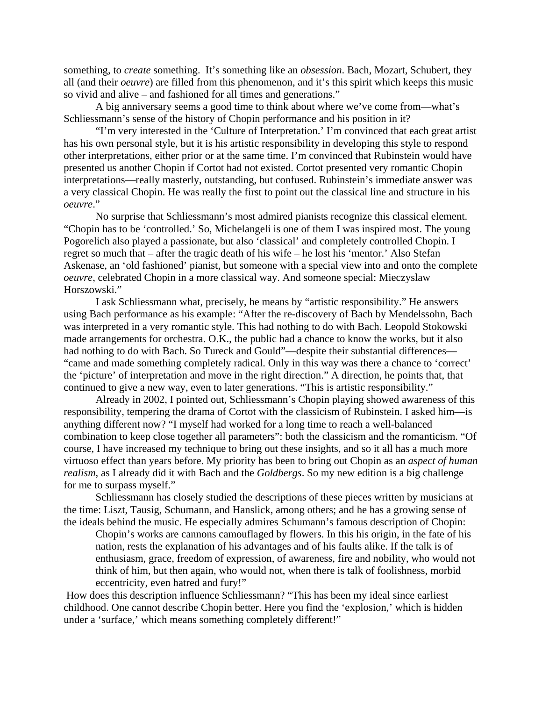something, to *create* something. It's something like an *obsession*. Bach, Mozart, Schubert, they all (and their *oeuvre*) are filled from this phenomenon, and it's this spirit which keeps this music so vivid and alive – and fashioned for all times and generations."

A big anniversary seems a good time to think about where we've come from—what's Schliessmann's sense of the history of Chopin performance and his position in it?

"I'm very interested in the 'Culture of Interpretation.' I'm convinced that each great artist has his own personal style, but it is his artistic responsibility in developing this style to respond other interpretations, either prior or at the same time. I'm convinced that Rubinstein would have presented us another Chopin if Cortot had not existed. Cortot presented very romantic Chopin interpretations—really masterly, outstanding, but confused. Rubinstein's immediate answer was a very classical Chopin. He was really the first to point out the classical line and structure in his *oeuvre*."

No surprise that Schliessmann's most admired pianists recognize this classical element. "Chopin has to be 'controlled.' So, Michelangeli is one of them I was inspired most. The young Pogorelich also played a passionate, but also 'classical' and completely controlled Chopin. I regret so much that – after the tragic death of his wife – he lost his 'mentor.' Also Stefan Askenase, an 'old fashioned' pianist, but someone with a special view into and onto the complete *oeuvre*, celebrated Chopin in a more classical way. And someone special: Mieczyslaw Horszowski."

I ask Schliessmann what, precisely, he means by "artistic responsibility." He answers using Bach performance as his example: "After the re-discovery of Bach by Mendelssohn, Bach was interpreted in a very romantic style. This had nothing to do with Bach. Leopold Stokowski made arrangements for orchestra. O.K., the public had a chance to know the works, but it also had nothing to do with Bach. So Tureck and Gould"—despite their substantial differences— "came and made something completely radical. Only in this way was there a chance to 'correct' the 'picture' of interpretation and move in the right direction." A direction, he points that, that continued to give a new way, even to later generations. "This is artistic responsibility."

Already in 2002, I pointed out, Schliessmann's Chopin playing showed awareness of this responsibility, tempering the drama of Cortot with the classicism of Rubinstein. I asked him—is anything different now? "I myself had worked for a long time to reach a well-balanced combination to keep close together all parameters": both the classicism and the romanticism. "Of course, I have increased my technique to bring out these insights, and so it all has a much more virtuoso effect than years before. My priority has been to bring out Chopin as an *aspect of human realism*, as I already did it with Bach and the *Goldbergs*. So my new edition is a big challenge for me to surpass myself."

Schliessmann has closely studied the descriptions of these pieces written by musicians at the time: Liszt, Tausig, Schumann, and Hanslick, among others; and he has a growing sense of the ideals behind the music. He especially admires Schumann's famous description of Chopin:

Chopin's works are cannons camouflaged by flowers. In this his origin, in the fate of his nation, rests the explanation of his advantages and of his faults alike. If the talk is of enthusiasm, grace, freedom of expression, of awareness, fire and nobility, who would not think of him, but then again, who would not, when there is talk of foolishness, morbid eccentricity, even hatred and fury!"

 How does this description influence Schliessmann? "This has been my ideal since earliest childhood. One cannot describe Chopin better. Here you find the 'explosion,' which is hidden under a 'surface,' which means something completely different!"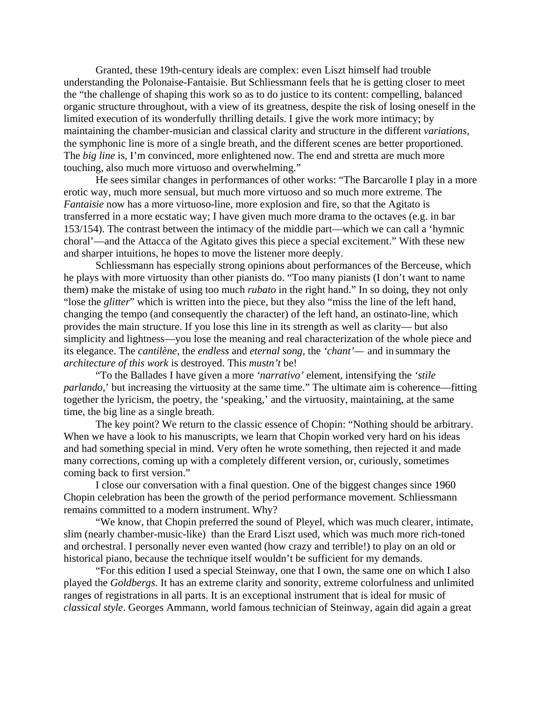Granted, these 19th-century ideals are complex: even Liszt himself had trouble understanding the Polonaise-Fantaisie. But Schliessmann feels that he is getting closer to meet the "the challenge of shaping this work so as to do justice to its content: compelling, balanced organic structure throughout, with a view of its greatness, despite the risk of losing oneself in the limited execution of its wonderfully thrilling details. I give the work more intimacy; by maintaining the chamber-musician and classical clarity and structure in the different *variations,* the symphonic line is more of a single breath, and the different scenes are better proportioned. The *big line* is, I'm convinced, more enlightened now. The end and stretta are much more touching, also much more virtuoso and overwhelming."

He sees similar changes in performances of other works: "The Barcarolle I play in a more erotic way, much more sensual, but much more virtuoso and so much more extreme. The *Fantaisie* now has a more virtuoso-line, more explosion and fire, so that the Agitato is transferred in a more ecstatic way; I have given much more drama to the octaves (e.g. in bar 153/154). The contrast between the intimacy of the middle part—which we can call a 'hymnic choral'—and the Attacca of the Agitato gives this piece a special excitement." With these new and sharper intuitions, he hopes to move the listener more deeply.

Schliessmann has especially strong opinions about performances of the Berceuse, which he plays with more virtuosity than other pianists do. "Too many pianists (I don't want to name them) make the mistake of using too much *rubato* in the right hand." In so doing, they not only "lose the *glitter*" which is written into the piece, but they also "miss the line of the left hand, changing the tempo (and consequently the character) of the left hand, an ostinato-line, which provides the main structure. If you lose this line in its strength as well as clarity— but also simplicity and lightness—you lose the meaning and real characterization of the whole piece and its elegance. The *cantilène*, the *endless* and *eternal song*, the *'chant'—* and in summary the *architecture of this work* is destroyed. This *mustn't* be!

"To the Ballades I have given a more *'narrativo'* element, intensifying the *'stile parlando*,' but increasing the virtuosity at the same time." The ultimate aim is coherence—fitting together the lyricism, the poetry, the 'speaking,' and the virtuosity, maintaining, at the same time, the big line as a single breath.

The key point? We return to the classic essence of Chopin: "Nothing should be arbitrary. When we have a look to his manuscripts, we learn that Chopin worked very hard on his ideas and had something special in mind. Very often he wrote something, then rejected it and made many corrections, coming up with a completely different version, or, curiously, sometimes coming back to first version."

I close our conversation with a final question. One of the biggest changes since 1960 Chopin celebration has been the growth of the period performance movement. Schliessmann remains committed to a modern instrument. Why?

"We know, that Chopin preferred the sound of Pleyel, which was much clearer, intimate, slim (nearly chamber-music-like) than the Erard Liszt used, which was much more rich-toned and orchestral. I personally never even wanted (how crazy and terrible!) to play on an old or historical piano, because the technique itself wouldn't be sufficient for my demands.

"For this edition I used a special Steinway, one that I own, the same one on which I also played the *Goldbergs*. It has an extreme clarity and sonority, extreme colorfulness and unlimited ranges of registrations in all parts. It is an exceptional instrument that is ideal for music of *classical style*. Georges Ammann, world famous technician of Steinway, again did again a great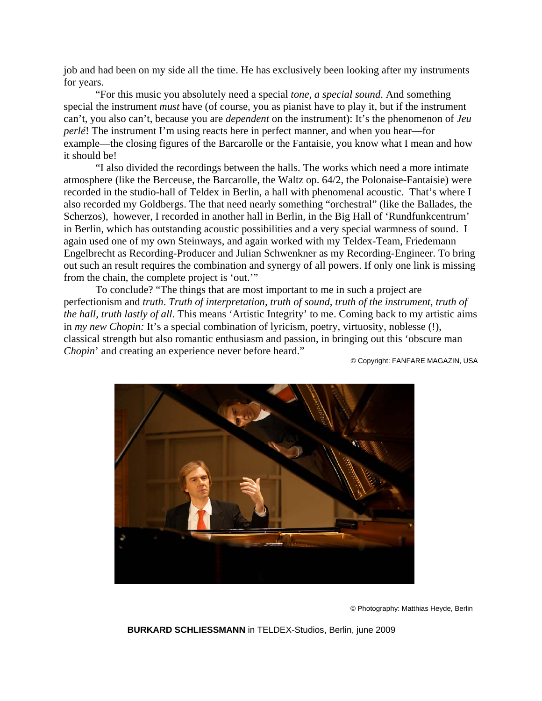job and had been on my side all the time. He has exclusively been looking after my instruments for years.

"For this music you absolutely need a special *tone, a special sound*. And something special the instrument *must* have (of course, you as pianist have to play it, but if the instrument can't, you also can't, because you are *dependent* on the instrument): It's the phenomenon of *Jeu perlé*! The instrument I'm using reacts here in perfect manner, and when you hear—for example—the closing figures of the Barcarolle or the Fantaisie, you know what I mean and how it should be!

"I also divided the recordings between the halls. The works which need a more intimate atmosphere (like the Berceuse, the Barcarolle, the Waltz op. 64/2, the Polonaise-Fantaisie) were recorded in the studio-hall of Teldex in Berlin, a hall with phenomenal acoustic. That's where I also recorded my Goldbergs. The that need nearly something "orchestral" (like the Ballades, the Scherzos), however, I recorded in another hall in Berlin, in the Big Hall of 'Rundfunkcentrum' in Berlin, which has outstanding acoustic possibilities and a very special warmness of sound. I again used one of my own Steinways, and again worked with my Teldex-Team, Friedemann Engelbrecht as Recording-Producer and Julian Schwenkner as my Recording-Engineer. To bring out such an result requires the combination and synergy of all powers. If only one link is missing from the chain, the complete project is 'out.'"

To conclude? "The things that are most important to me in such a project are perfectionism and *truth*. *Truth of interpretation, truth of sound, truth of the instrument, truth of the hall, truth lastly of all*. This means 'Artistic Integrity' to me. Coming back to my artistic aims in *my new Chopin:* It's a special combination of lyricism, poetry, virtuosity, noblesse (!), classical strength but also romantic enthusiasm and passion, in bringing out this 'obscure man *Chopin*' and creating an experience never before heard."

© Copyright: FANFARE MAGAZIN, USA



© Photography: Matthias Heyde, Berlin

**BURKARD SCHLIESSMANN** in TELDEX-Studios, Berlin, june 2009